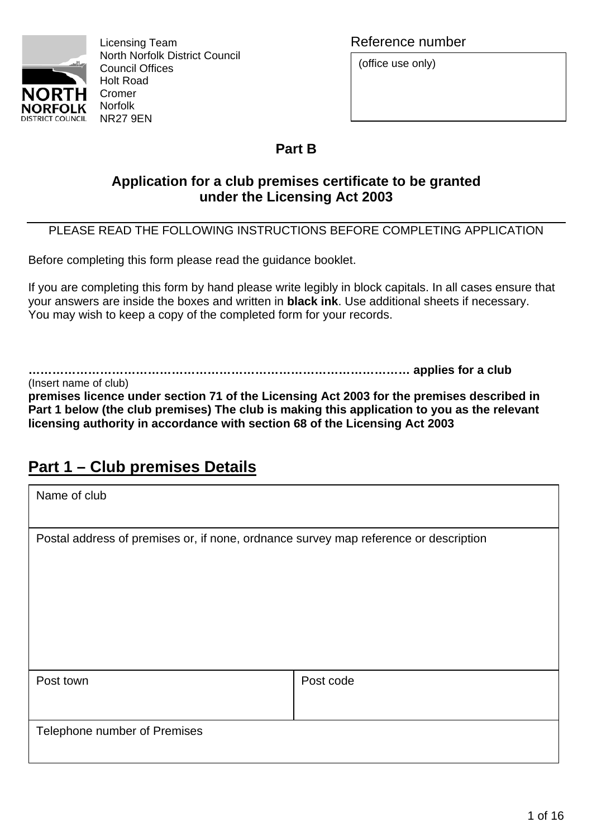

Licensing Team and Team and Team and Team and Team and Reference number North Norfolk District Council Council Offices Holt Road

(office use only)

## **Part B**

## **Application for a club premises certificate to be granted under the Licensing Act 2003**

## PLEASE READ THE FOLLOWING INSTRUCTIONS BEFORE COMPLETING APPLICATION

Before completing this form please read the guidance booklet.

If you are completing this form by hand please write legibly in block capitals. In all cases ensure that your answers are inside the boxes and written in **black ink**. Use additional sheets if necessary. You may wish to keep a copy of the completed form for your records.

**…………………………………………………………………………………… applies for a club** 

(Insert name of club) **premises licence under section 71 of the Licensing Act 2003 for the premises described in Part 1 below (the club premises) The club is making this application to you as the relevant licensing authority in accordance with section 68 of the Licensing Act 2003** 

# **Part 1 – Club premises Details**

| Name of club                                                                         |           |  |  |  |  |
|--------------------------------------------------------------------------------------|-----------|--|--|--|--|
|                                                                                      |           |  |  |  |  |
| Postal address of premises or, if none, ordnance survey map reference or description |           |  |  |  |  |
|                                                                                      |           |  |  |  |  |
|                                                                                      |           |  |  |  |  |
|                                                                                      |           |  |  |  |  |
|                                                                                      |           |  |  |  |  |
|                                                                                      |           |  |  |  |  |
|                                                                                      |           |  |  |  |  |
| Post town                                                                            | Post code |  |  |  |  |
|                                                                                      |           |  |  |  |  |
| Telephone number of Premises                                                         |           |  |  |  |  |
|                                                                                      |           |  |  |  |  |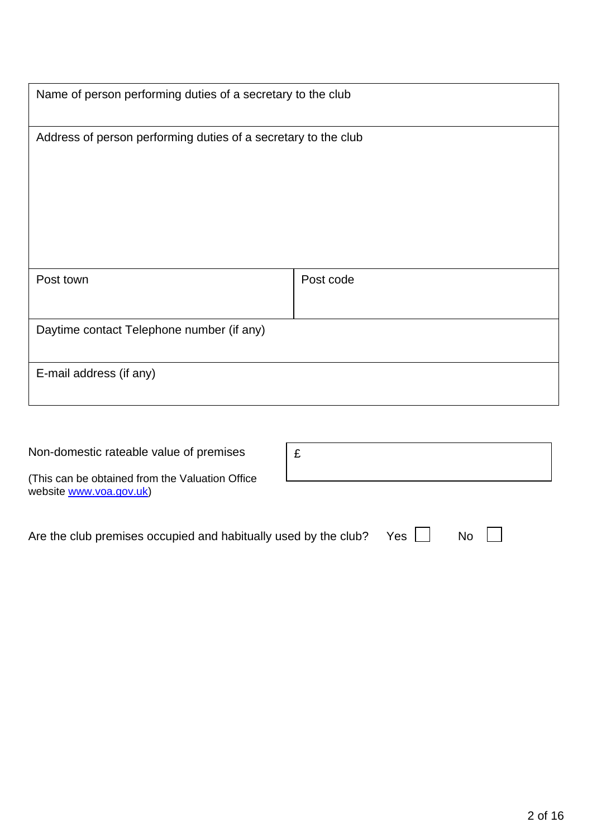|                                                                | Name of person performing duties of a secretary to the club |  |  |  |  |
|----------------------------------------------------------------|-------------------------------------------------------------|--|--|--|--|
| Address of person performing duties of a secretary to the club |                                                             |  |  |  |  |
| Post town                                                      | Post code                                                   |  |  |  |  |
| Daytime contact Telephone number (if any)                      |                                                             |  |  |  |  |
| E-mail address (if any)                                        |                                                             |  |  |  |  |

| Non-domestic rateable value of premises                                     | £ |       |           |
|-----------------------------------------------------------------------------|---|-------|-----------|
| (This can be obtained from the Valuation Office)<br>website www.voa.gov.uk) |   |       |           |
| Are the club premises occupied and habitually used by the club?             |   | $Yes$ | <b>No</b> |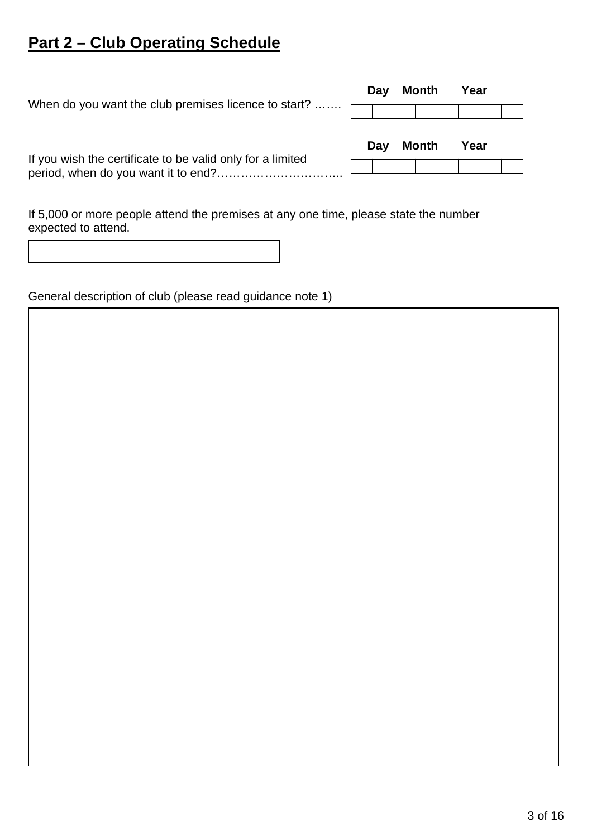# **Part 2 – Club Operating Schedule**

| When do you want the club premises licence to start?       | Day | <b>Month</b> | Year |  |
|------------------------------------------------------------|-----|--------------|------|--|
| If you wish the certificate to be valid only for a limited | Day | Month        | Year |  |

If 5,000 or more people attend the premises at any one time, please state the number expected to attend.

General description of club (please read guidance note 1)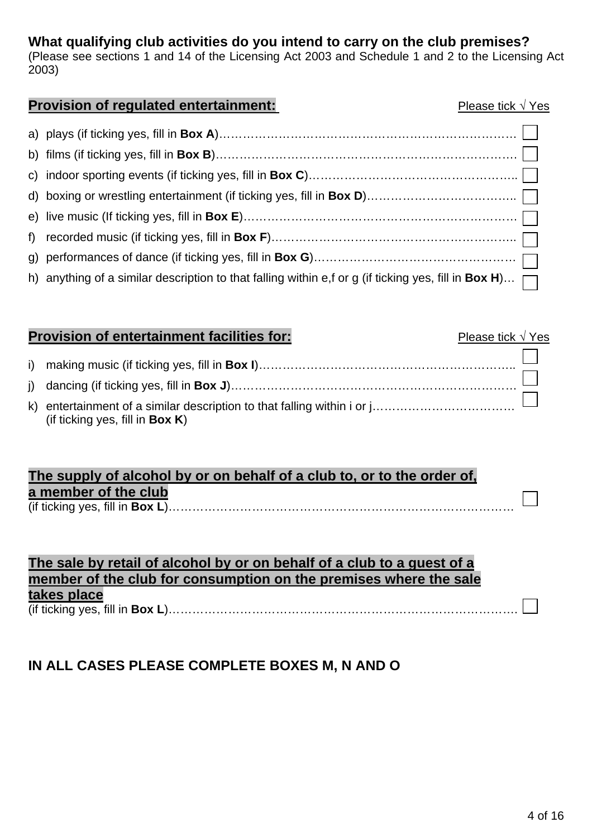## **What qualifying club activities do you intend to carry on the club premises?**

(Please see sections 1 and 14 of the Licensing Act 2003 and Schedule 1 and 2 to the Licensing Act 2003)

### **Provision of regulated entertainment:** Provision Please tick √ Yes

| h) anything of a similar description to that falling within e,f or g (if ticking yes, fill in Box H) $\Box$ |  |
|-------------------------------------------------------------------------------------------------------------|--|

## **Provision of entertainment facilities for:** Please tick √ Yes

| (if ticking yes, fill in <b>Box K)</b> |  |
|----------------------------------------|--|

## **The supply of alcohol by or on behalf of a club to, or to the order of, a member of the club**  (if ticking yes, fill in **Box L**)……………………………………………………………………………

## **The sale by retail of alcohol by or on behalf of a club to a guest of a member of the club for consumption on the premises where the sale takes place** (if ticking yes, fill in **Box L**)…………………………………………………………………………….

## **IN ALL CASES PLEASE COMPLETE BOXES M, N AND O**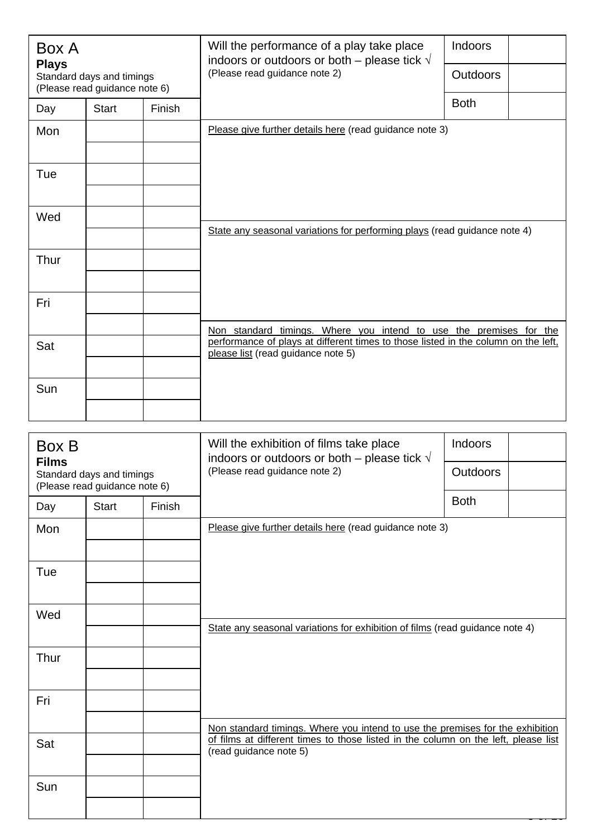| Box A<br><b>Plays</b>                                      |              |        | Will the performance of a play take place<br>indoors or outdoors or both – please tick $\sqrt{}$                                                         | <b>Indoors</b>  |  |  |
|------------------------------------------------------------|--------------|--------|----------------------------------------------------------------------------------------------------------------------------------------------------------|-----------------|--|--|
| Standard days and timings<br>(Please read guidance note 6) |              |        | (Please read guidance note 2)                                                                                                                            | <b>Outdoors</b> |  |  |
| Day                                                        | <b>Start</b> | Finish |                                                                                                                                                          | <b>Both</b>     |  |  |
| Mon                                                        |              |        | Please give further details here (read guidance note 3)                                                                                                  |                 |  |  |
|                                                            |              |        |                                                                                                                                                          |                 |  |  |
| Tue                                                        |              |        |                                                                                                                                                          |                 |  |  |
|                                                            |              |        |                                                                                                                                                          |                 |  |  |
| Wed                                                        |              |        | State any seasonal variations for performing plays (read guidance note 4)                                                                                |                 |  |  |
|                                                            |              |        |                                                                                                                                                          |                 |  |  |
| Thur                                                       |              |        |                                                                                                                                                          |                 |  |  |
| Fri                                                        |              |        |                                                                                                                                                          |                 |  |  |
|                                                            |              |        |                                                                                                                                                          |                 |  |  |
| Sat                                                        |              |        | Non standard timings. Where you intend to use the premises for the<br>performance of plays at different times to those listed in the column on the left, |                 |  |  |
|                                                            |              |        | please list (read guidance note 5)                                                                                                                       |                 |  |  |
| Sun                                                        |              |        |                                                                                                                                                          |                 |  |  |
|                                                            |              |        |                                                                                                                                                          |                 |  |  |

| Box B<br><b>Films</b>                                      |              |        | Will the exhibition of films take place<br>indoors or outdoors or both – please tick $\sqrt{ }$              | Indoors         |  |  |
|------------------------------------------------------------|--------------|--------|--------------------------------------------------------------------------------------------------------------|-----------------|--|--|
| Standard days and timings<br>(Please read guidance note 6) |              |        | (Please read guidance note 2)                                                                                | <b>Outdoors</b> |  |  |
| Day                                                        | <b>Start</b> | Finish |                                                                                                              | <b>Both</b>     |  |  |
| Mon                                                        |              |        | Please give further details here (read guidance note 3)                                                      |                 |  |  |
|                                                            |              |        |                                                                                                              |                 |  |  |
| Tue                                                        |              |        |                                                                                                              |                 |  |  |
|                                                            |              |        |                                                                                                              |                 |  |  |
| Wed                                                        |              |        | State any seasonal variations for exhibition of films (read guidance note 4)                                 |                 |  |  |
|                                                            |              |        |                                                                                                              |                 |  |  |
| Thur                                                       |              |        |                                                                                                              |                 |  |  |
|                                                            |              |        |                                                                                                              |                 |  |  |
| Fri                                                        |              |        |                                                                                                              |                 |  |  |
|                                                            |              |        | Non standard timings. Where you intend to use the premises for the exhibition                                |                 |  |  |
| Sat                                                        |              |        | of films at different times to those listed in the column on the left, please list<br>(read guidance note 5) |                 |  |  |
|                                                            |              |        |                                                                                                              |                 |  |  |
| Sun                                                        |              |        |                                                                                                              |                 |  |  |
|                                                            |              |        |                                                                                                              |                 |  |  |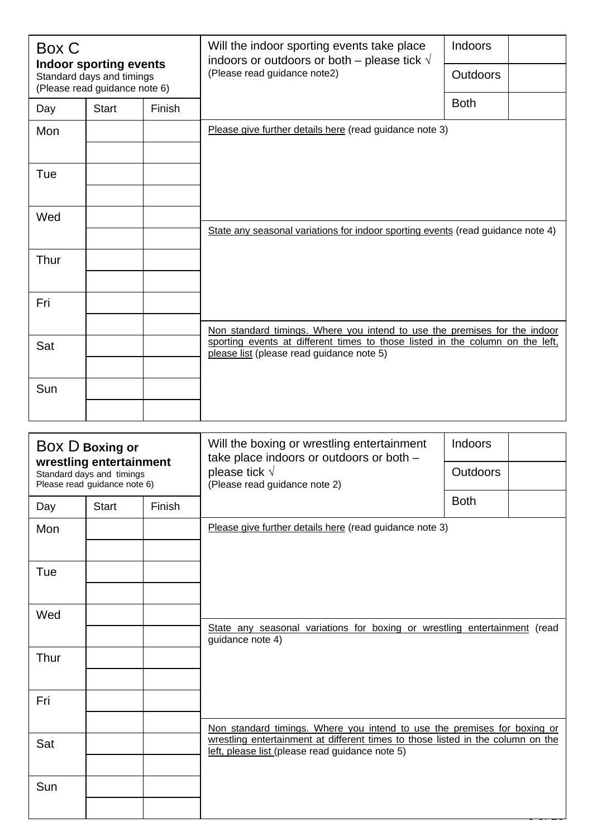| Box C<br><b>Indoor sporting events</b>                     |              |        | Will the indoor sporting events take place<br>indoors or outdoors or both – please tick $\sqrt{}$                          | <b>Indoors</b>  |
|------------------------------------------------------------|--------------|--------|----------------------------------------------------------------------------------------------------------------------------|-----------------|
| Standard days and timings<br>(Please read guidance note 6) |              |        | (Please read guidance note2)                                                                                               | <b>Outdoors</b> |
| Day                                                        | <b>Start</b> | Finish |                                                                                                                            | <b>Both</b>     |
| Mon                                                        |              |        | Please give further details here (read guidance note 3)                                                                    |                 |
|                                                            |              |        |                                                                                                                            |                 |
| Tue                                                        |              |        |                                                                                                                            |                 |
|                                                            |              |        |                                                                                                                            |                 |
| Wed                                                        |              |        | State any seasonal variations for indoor sporting events (read guidance note 4)                                            |                 |
|                                                            |              |        |                                                                                                                            |                 |
| Thur                                                       |              |        |                                                                                                                            |                 |
|                                                            |              |        |                                                                                                                            |                 |
| Fri                                                        |              |        |                                                                                                                            |                 |
|                                                            |              |        | Non standard timings. Where you intend to use the premises for the indoor                                                  |                 |
| Sat                                                        |              |        | sporting events at different times to those listed in the column on the left,<br>please list (please read guidance note 5) |                 |
|                                                            |              |        |                                                                                                                            |                 |
| Sun                                                        |              |        |                                                                                                                            |                 |
|                                                            |              |        |                                                                                                                            |                 |

| BOX D Boxing or                                                                      |              |               | Will the boxing or wrestling entertainment<br>take place indoors or outdoors or both -                                             | Indoors         |  |  |
|--------------------------------------------------------------------------------------|--------------|---------------|------------------------------------------------------------------------------------------------------------------------------------|-----------------|--|--|
| wrestling entertainment<br>Standard days and timings<br>Please read guidance note 6) |              |               | please tick $\sqrt{}$<br>(Please read guidance note 2)                                                                             | <b>Outdoors</b> |  |  |
| Day                                                                                  | <b>Start</b> | <b>Finish</b> |                                                                                                                                    | <b>Both</b>     |  |  |
| Mon                                                                                  |              |               | Please give further details here (read guidance note 3)                                                                            |                 |  |  |
| Tue                                                                                  |              |               |                                                                                                                                    |                 |  |  |
| Wed                                                                                  |              |               |                                                                                                                                    |                 |  |  |
|                                                                                      |              |               | State any seasonal variations for boxing or wrestling entertainment (read<br>guidance note 4)                                      |                 |  |  |
| Thur                                                                                 |              |               |                                                                                                                                    |                 |  |  |
| Fri                                                                                  |              |               |                                                                                                                                    |                 |  |  |
|                                                                                      |              |               | Non standard timings. Where you intend to use the premises for boxing or                                                           |                 |  |  |
| Sat                                                                                  |              |               | wrestling entertainment at different times to those listed in the column on the<br>left, please list (please read guidance note 5) |                 |  |  |
| Sun                                                                                  |              |               |                                                                                                                                    |                 |  |  |
|                                                                                      |              |               |                                                                                                                                    |                 |  |  |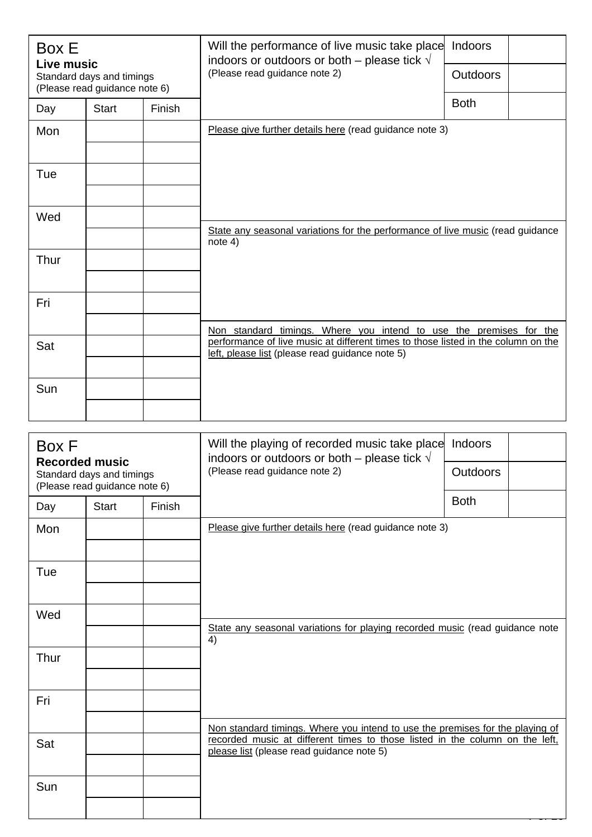| Box E<br>Live music                                        |              |        | Will the performance of live music take place<br>indoors or outdoors or both – please tick $\sqrt{ }$<br>(Please read guidance note 2)                  | Indoors         |  |
|------------------------------------------------------------|--------------|--------|---------------------------------------------------------------------------------------------------------------------------------------------------------|-----------------|--|
| Standard days and timings<br>(Please read guidance note 6) |              |        |                                                                                                                                                         | <b>Outdoors</b> |  |
| Day                                                        | <b>Start</b> | Finish |                                                                                                                                                         | <b>Both</b>     |  |
| Mon                                                        |              |        | Please give further details here (read guidance note 3)                                                                                                 |                 |  |
|                                                            |              |        |                                                                                                                                                         |                 |  |
| Tue                                                        |              |        |                                                                                                                                                         |                 |  |
|                                                            |              |        |                                                                                                                                                         |                 |  |
| Wed                                                        |              |        | State any seasonal variations for the performance of live music (read guidance                                                                          |                 |  |
|                                                            |              |        | note $4)$                                                                                                                                               |                 |  |
| Thur                                                       |              |        |                                                                                                                                                         |                 |  |
|                                                            |              |        |                                                                                                                                                         |                 |  |
| Fri                                                        |              |        |                                                                                                                                                         |                 |  |
|                                                            |              |        | Non standard timings. Where you intend to use the premises for the<br>performance of live music at different times to those listed in the column on the |                 |  |
| Sat                                                        |              |        | left, please list (please read guidance note 5)                                                                                                         |                 |  |
|                                                            |              |        |                                                                                                                                                         |                 |  |
| Sun                                                        |              |        |                                                                                                                                                         |                 |  |
|                                                            |              |        |                                                                                                                                                         |                 |  |

| Box F<br><b>Recorded music</b> |                                                            |        | Will the playing of recorded music take place<br>indoors or outdoors or both – please tick $\sqrt{ }$                     | Indoors         |  |  |  |  |  |  |
|--------------------------------|------------------------------------------------------------|--------|---------------------------------------------------------------------------------------------------------------------------|-----------------|--|--|--|--|--|--|
|                                | Standard days and timings<br>(Please read guidance note 6) |        | (Please read guidance note 2)                                                                                             | <b>Outdoors</b> |  |  |  |  |  |  |
| Day                            | <b>Start</b>                                               | Finish |                                                                                                                           | <b>Both</b>     |  |  |  |  |  |  |
| Mon                            |                                                            |        | Please give further details here (read guidance note 3)                                                                   |                 |  |  |  |  |  |  |
|                                |                                                            |        |                                                                                                                           |                 |  |  |  |  |  |  |
| Tue                            |                                                            |        |                                                                                                                           |                 |  |  |  |  |  |  |
|                                |                                                            |        |                                                                                                                           |                 |  |  |  |  |  |  |
| Wed                            |                                                            |        |                                                                                                                           |                 |  |  |  |  |  |  |
|                                |                                                            |        | State any seasonal variations for playing recorded music (read guidance note<br>4)                                        |                 |  |  |  |  |  |  |
| Thur                           |                                                            |        |                                                                                                                           |                 |  |  |  |  |  |  |
|                                |                                                            |        |                                                                                                                           |                 |  |  |  |  |  |  |
| Fri                            |                                                            |        |                                                                                                                           |                 |  |  |  |  |  |  |
|                                |                                                            |        | Non standard timings. Where you intend to use the premises for the playing of                                             |                 |  |  |  |  |  |  |
| Sat                            |                                                            |        | recorded music at different times to those listed in the column on the left,<br>please list (please read guidance note 5) |                 |  |  |  |  |  |  |
|                                |                                                            |        |                                                                                                                           |                 |  |  |  |  |  |  |
| Sun                            |                                                            |        |                                                                                                                           |                 |  |  |  |  |  |  |
|                                |                                                            |        |                                                                                                                           |                 |  |  |  |  |  |  |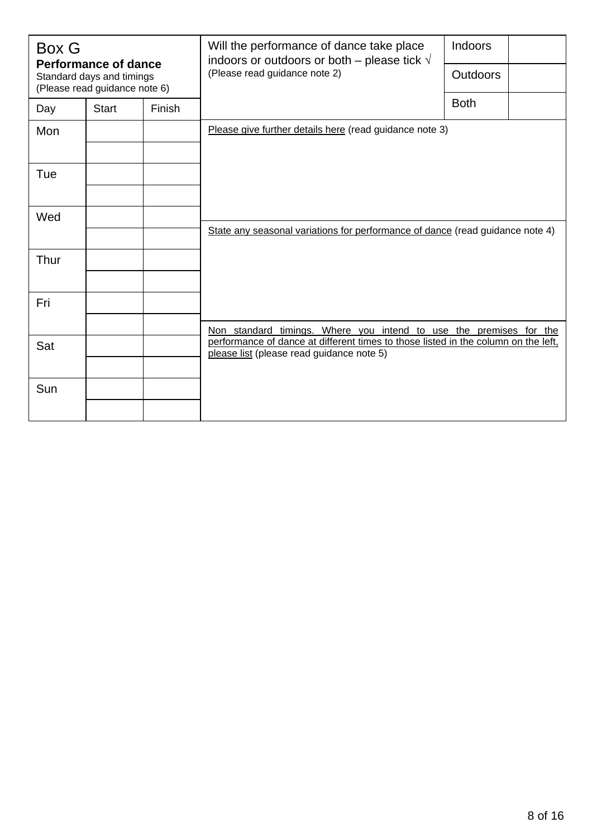| <b>Box G</b><br><b>Performance of dance</b> |                                                            |        | Will the performance of dance take place<br>indoors or outdoors or both – please tick $\sqrt{}$                                                          | Indoors         |  |  |  |  |  |
|---------------------------------------------|------------------------------------------------------------|--------|----------------------------------------------------------------------------------------------------------------------------------------------------------|-----------------|--|--|--|--|--|
|                                             | Standard days and timings<br>(Please read guidance note 6) |        | (Please read guidance note 2)                                                                                                                            | <b>Outdoors</b> |  |  |  |  |  |
| Day                                         | <b>Start</b>                                               | Finish |                                                                                                                                                          | <b>Both</b>     |  |  |  |  |  |
| Mon                                         |                                                            |        | Please give further details here (read guidance note 3)                                                                                                  |                 |  |  |  |  |  |
|                                             |                                                            |        |                                                                                                                                                          |                 |  |  |  |  |  |
| Tue                                         |                                                            |        |                                                                                                                                                          |                 |  |  |  |  |  |
|                                             |                                                            |        |                                                                                                                                                          |                 |  |  |  |  |  |
| Wed                                         |                                                            |        | State any seasonal variations for performance of dance (read guidance note 4)                                                                            |                 |  |  |  |  |  |
|                                             |                                                            |        |                                                                                                                                                          |                 |  |  |  |  |  |
| Thur                                        |                                                            |        |                                                                                                                                                          |                 |  |  |  |  |  |
|                                             |                                                            |        |                                                                                                                                                          |                 |  |  |  |  |  |
| Fri                                         |                                                            |        |                                                                                                                                                          |                 |  |  |  |  |  |
|                                             |                                                            |        | Non standard timings. Where you intend to use the premises for the<br>performance of dance at different times to those listed in the column on the left, |                 |  |  |  |  |  |
| Sat                                         |                                                            |        | please list (please read guidance note 5)                                                                                                                |                 |  |  |  |  |  |
| Sun                                         |                                                            |        |                                                                                                                                                          |                 |  |  |  |  |  |
|                                             |                                                            |        |                                                                                                                                                          |                 |  |  |  |  |  |
|                                             |                                                            |        |                                                                                                                                                          |                 |  |  |  |  |  |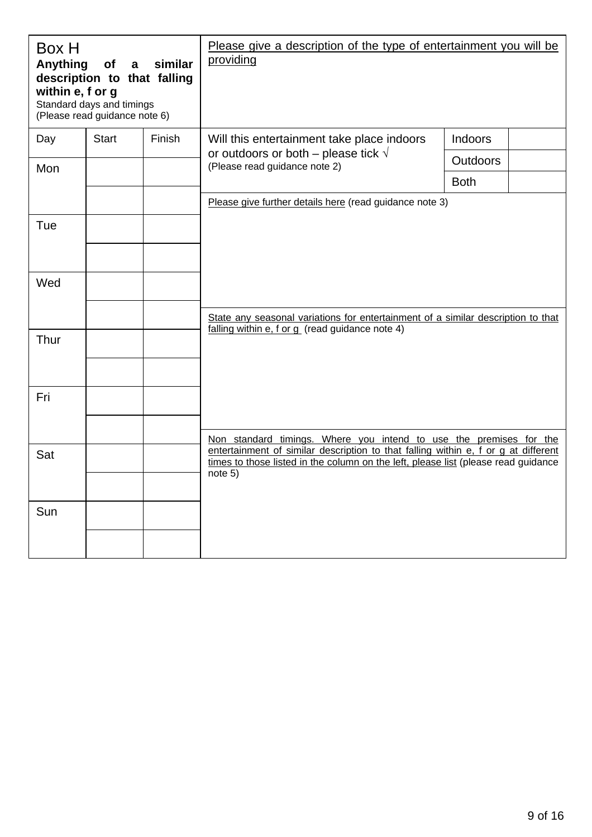| Box H<br>Anything<br>within e, f or g | <b>of</b><br>$\mathbf{a}$<br>description to that falling<br>Standard days and timings<br>(Please read guidance note 6) | similar | Please give a description of the type of entertainment you will be<br>providing                                                                                          |                 |  |  |  |  |  |
|---------------------------------------|------------------------------------------------------------------------------------------------------------------------|---------|--------------------------------------------------------------------------------------------------------------------------------------------------------------------------|-----------------|--|--|--|--|--|
| Day                                   | <b>Start</b>                                                                                                           | Finish  | Will this entertainment take place indoors                                                                                                                               | Indoors         |  |  |  |  |  |
| Mon                                   |                                                                                                                        |         | or outdoors or both – please tick $\sqrt{ }$<br>(Please read guidance note 2)                                                                                            | <b>Outdoors</b> |  |  |  |  |  |
|                                       |                                                                                                                        |         |                                                                                                                                                                          | <b>Both</b>     |  |  |  |  |  |
|                                       |                                                                                                                        |         | Please give further details here (read guidance note 3)                                                                                                                  |                 |  |  |  |  |  |
| Tue                                   |                                                                                                                        |         |                                                                                                                                                                          |                 |  |  |  |  |  |
|                                       |                                                                                                                        |         |                                                                                                                                                                          |                 |  |  |  |  |  |
| Wed                                   |                                                                                                                        |         |                                                                                                                                                                          |                 |  |  |  |  |  |
|                                       |                                                                                                                        |         | State any seasonal variations for entertainment of a similar description to that                                                                                         |                 |  |  |  |  |  |
| Thur                                  |                                                                                                                        |         | falling within e, f or g (read guidance note 4)                                                                                                                          |                 |  |  |  |  |  |
| Fri                                   |                                                                                                                        |         |                                                                                                                                                                          |                 |  |  |  |  |  |
|                                       |                                                                                                                        |         | Non standard timings. Where you intend to use the premises for the                                                                                                       |                 |  |  |  |  |  |
| Sat                                   |                                                                                                                        |         | entertainment of similar description to that falling within e, f or g at different<br>times to those listed in the column on the left, please list (please read guidance |                 |  |  |  |  |  |
|                                       |                                                                                                                        |         | note 5)                                                                                                                                                                  |                 |  |  |  |  |  |
| Sun                                   |                                                                                                                        |         |                                                                                                                                                                          |                 |  |  |  |  |  |
|                                       |                                                                                                                        |         |                                                                                                                                                                          |                 |  |  |  |  |  |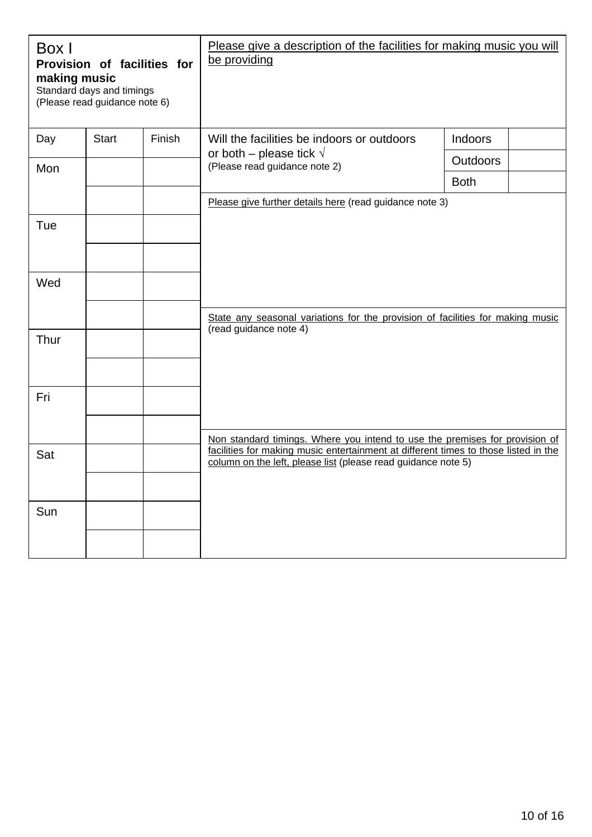| Box I<br>Provision of facilities for<br>making music<br>Standard days and timings<br>(Please read guidance note 6) |              |        | Please give a description of the facilities for making music you will<br>be providing                                                                |                 |  |  |  |  |  |
|--------------------------------------------------------------------------------------------------------------------|--------------|--------|------------------------------------------------------------------------------------------------------------------------------------------------------|-----------------|--|--|--|--|--|
| Day                                                                                                                | <b>Start</b> | Finish | Will the facilities be indoors or outdoors                                                                                                           | Indoors         |  |  |  |  |  |
| Mon                                                                                                                |              |        | or both – please tick $\sqrt{}$<br>(Please read guidance note 2)                                                                                     | <b>Outdoors</b> |  |  |  |  |  |
|                                                                                                                    |              |        |                                                                                                                                                      | <b>Both</b>     |  |  |  |  |  |
|                                                                                                                    |              |        | Please give further details here (read guidance note 3)                                                                                              |                 |  |  |  |  |  |
| Tue                                                                                                                |              |        |                                                                                                                                                      |                 |  |  |  |  |  |
| Wed                                                                                                                |              |        |                                                                                                                                                      |                 |  |  |  |  |  |
|                                                                                                                    |              |        | State any seasonal variations for the provision of facilities for making music                                                                       |                 |  |  |  |  |  |
| Thur                                                                                                               |              |        | (read guidance note 4)                                                                                                                               |                 |  |  |  |  |  |
| Fri                                                                                                                |              |        |                                                                                                                                                      |                 |  |  |  |  |  |
|                                                                                                                    |              |        | Non standard timings. Where you intend to use the premises for provision of                                                                          |                 |  |  |  |  |  |
| Sat                                                                                                                |              |        | facilities for making music entertainment at different times to those listed in the<br>column on the left, please list (please read guidance note 5) |                 |  |  |  |  |  |
|                                                                                                                    |              |        |                                                                                                                                                      |                 |  |  |  |  |  |
| Sun                                                                                                                |              |        |                                                                                                                                                      |                 |  |  |  |  |  |
|                                                                                                                    |              |        |                                                                                                                                                      |                 |  |  |  |  |  |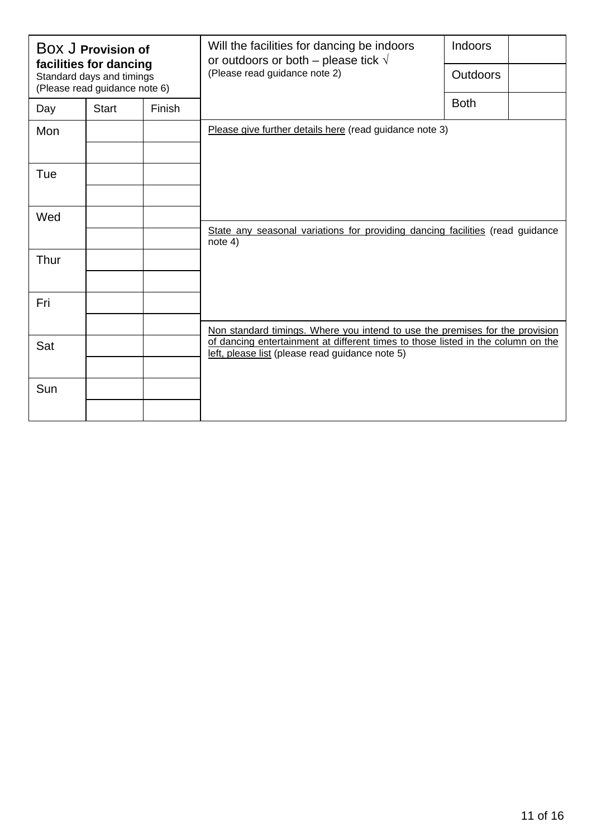| BOX J Provision of<br>facilities for dancing |                                                            |        | Will the facilities for dancing be indoors<br>or outdoors or both – please tick $\sqrt{}$ | Indoors         |  |  |  |  |  |  |
|----------------------------------------------|------------------------------------------------------------|--------|-------------------------------------------------------------------------------------------|-----------------|--|--|--|--|--|--|
|                                              | Standard days and timings<br>(Please read guidance note 6) |        | (Please read guidance note 2)                                                             | <b>Outdoors</b> |  |  |  |  |  |  |
| Day                                          | <b>Start</b>                                               | Finish |                                                                                           | <b>Both</b>     |  |  |  |  |  |  |
| Mon                                          |                                                            |        | Please give further details here (read guidance note 3)                                   |                 |  |  |  |  |  |  |
|                                              |                                                            |        |                                                                                           |                 |  |  |  |  |  |  |
| Tue                                          |                                                            |        |                                                                                           |                 |  |  |  |  |  |  |
|                                              |                                                            |        |                                                                                           |                 |  |  |  |  |  |  |
| Wed                                          |                                                            |        |                                                                                           |                 |  |  |  |  |  |  |
|                                              |                                                            |        | State any seasonal variations for providing dancing facilities (read guidance<br>note 4)  |                 |  |  |  |  |  |  |
| Thur                                         |                                                            |        |                                                                                           |                 |  |  |  |  |  |  |
|                                              |                                                            |        |                                                                                           |                 |  |  |  |  |  |  |
| Fri                                          |                                                            |        |                                                                                           |                 |  |  |  |  |  |  |
|                                              | Sat                                                        |        | Non standard timings. Where you intend to use the premises for the provision              |                 |  |  |  |  |  |  |
|                                              |                                                            |        | of dancing entertainment at different times to those listed in the column on the          |                 |  |  |  |  |  |  |
|                                              |                                                            |        | left, please list (please read guidance note 5)                                           |                 |  |  |  |  |  |  |
| Sun                                          |                                                            |        |                                                                                           |                 |  |  |  |  |  |  |
|                                              |                                                            |        |                                                                                           |                 |  |  |  |  |  |  |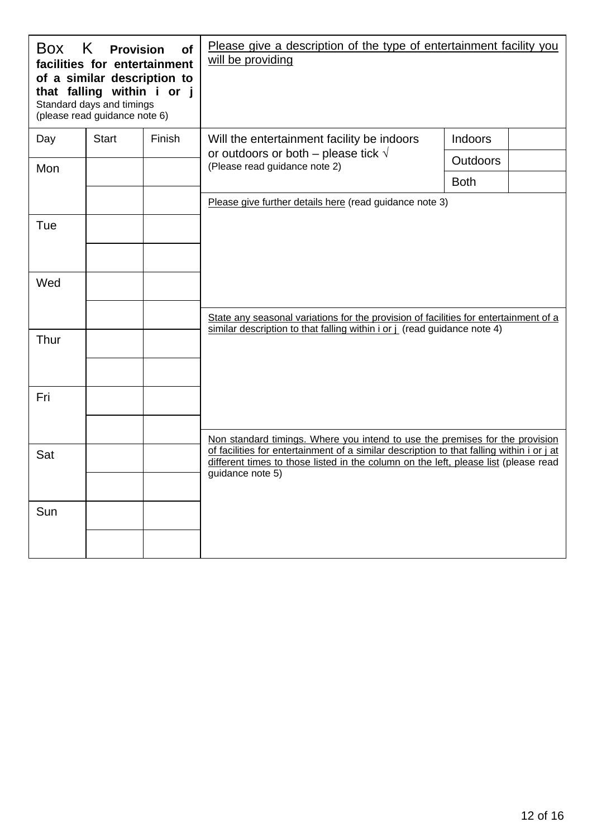|      | Box K Provision<br>facilities for entertainment<br>of a similar description to<br>that falling within i or j<br>Standard days and timings<br>(please read guidance note 6) | of     | Please give a description of the type of entertainment facility you<br>will be providing                                                                                         |                 |  |  |  |  |  |
|------|----------------------------------------------------------------------------------------------------------------------------------------------------------------------------|--------|----------------------------------------------------------------------------------------------------------------------------------------------------------------------------------|-----------------|--|--|--|--|--|
| Day  | <b>Start</b>                                                                                                                                                               | Finish | Will the entertainment facility be indoors                                                                                                                                       | Indoors         |  |  |  |  |  |
| Mon  |                                                                                                                                                                            |        | or outdoors or both – please tick $\sqrt{ }$<br>(Please read guidance note 2)                                                                                                    | <b>Outdoors</b> |  |  |  |  |  |
|      |                                                                                                                                                                            |        |                                                                                                                                                                                  | <b>Both</b>     |  |  |  |  |  |
|      |                                                                                                                                                                            |        | Please give further details here (read guidance note 3)                                                                                                                          |                 |  |  |  |  |  |
| Tue  |                                                                                                                                                                            |        |                                                                                                                                                                                  |                 |  |  |  |  |  |
|      |                                                                                                                                                                            |        |                                                                                                                                                                                  |                 |  |  |  |  |  |
| Wed  |                                                                                                                                                                            |        |                                                                                                                                                                                  |                 |  |  |  |  |  |
|      |                                                                                                                                                                            |        | State any seasonal variations for the provision of facilities for entertainment of a<br>similar description to that falling within i or j (read guidance note 4)                 |                 |  |  |  |  |  |
| Thur |                                                                                                                                                                            |        |                                                                                                                                                                                  |                 |  |  |  |  |  |
| Fri  |                                                                                                                                                                            |        |                                                                                                                                                                                  |                 |  |  |  |  |  |
|      |                                                                                                                                                                            |        | Non standard timings. Where you intend to use the premises for the provision                                                                                                     |                 |  |  |  |  |  |
| Sat  |                                                                                                                                                                            |        | of facilities for entertainment of a similar description to that falling within i or j at<br>different times to those listed in the column on the left, please list (please read |                 |  |  |  |  |  |
|      |                                                                                                                                                                            |        | guidance note 5)                                                                                                                                                                 |                 |  |  |  |  |  |
| Sun  |                                                                                                                                                                            |        |                                                                                                                                                                                  |                 |  |  |  |  |  |
|      |                                                                                                                                                                            |        |                                                                                                                                                                                  |                 |  |  |  |  |  |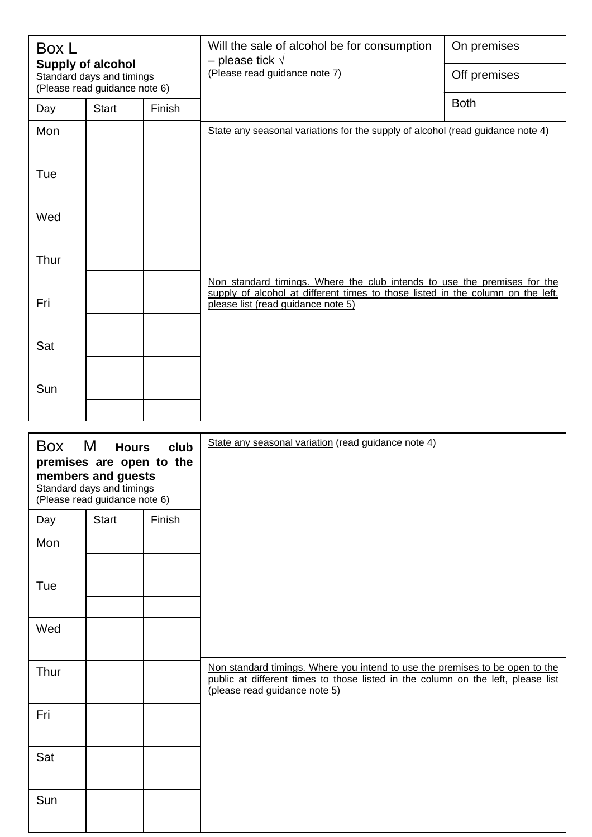| Box L<br><b>Supply of alcohol</b> |                                                            |        | Will the sale of alcohol be for consumption<br>- please tick $\sqrt{}$                                                | On premises  |  |
|-----------------------------------|------------------------------------------------------------|--------|-----------------------------------------------------------------------------------------------------------------------|--------------|--|
|                                   | Standard days and timings<br>(Please read guidance note 6) |        | (Please read guidance note 7)                                                                                         | Off premises |  |
| Day                               | <b>Start</b>                                               | Finish |                                                                                                                       | <b>Both</b>  |  |
| Mon                               |                                                            |        | State any seasonal variations for the supply of alcohol (read guidance note 4)                                        |              |  |
| Tue                               |                                                            |        |                                                                                                                       |              |  |
| Wed                               |                                                            |        |                                                                                                                       |              |  |
| Thur                              |                                                            |        |                                                                                                                       |              |  |
|                                   |                                                            |        | Non standard timings. Where the club intends to use the premises for the                                              |              |  |
| Fri                               |                                                            |        | supply of alcohol at different times to those listed in the column on the left,<br>please list (read guidance note 5) |              |  |
| Sat                               |                                                            |        |                                                                                                                       |              |  |
| Sun                               |                                                            |        |                                                                                                                       |              |  |

| Box M | <b>Hours</b><br>premises are open to the<br>members and guests<br>Standard days and timings<br>(Please read guidance note 6) | club   | State any seasonal variation (read guidance note 4)                                                                                                                                               |
|-------|------------------------------------------------------------------------------------------------------------------------------|--------|---------------------------------------------------------------------------------------------------------------------------------------------------------------------------------------------------|
| Day   | <b>Start</b>                                                                                                                 | Finish |                                                                                                                                                                                                   |
| Mon   |                                                                                                                              |        |                                                                                                                                                                                                   |
| Tue   |                                                                                                                              |        |                                                                                                                                                                                                   |
| Wed   |                                                                                                                              |        |                                                                                                                                                                                                   |
| Thur  |                                                                                                                              |        | Non standard timings. Where you intend to use the premises to be open to the<br>public at different times to those listed in the column on the left, please list<br>(please read guidance note 5) |
| Fri   |                                                                                                                              |        |                                                                                                                                                                                                   |
| Sat   |                                                                                                                              |        |                                                                                                                                                                                                   |
| Sun   |                                                                                                                              |        |                                                                                                                                                                                                   |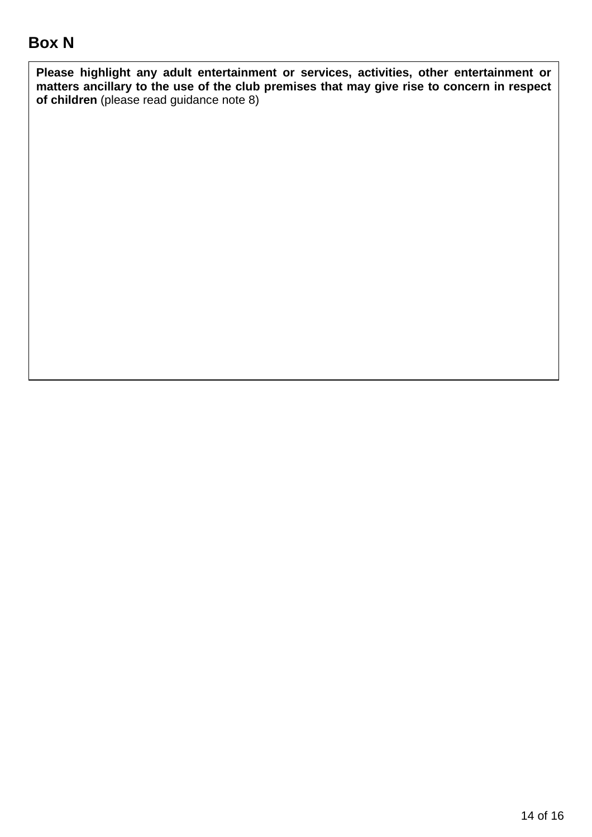# **Box N**

**Please highlight any adult entertainment or services, activities, other entertainment or matters ancillary to the use of the club premises that may give rise to concern in respect of children** (please read guidance note 8)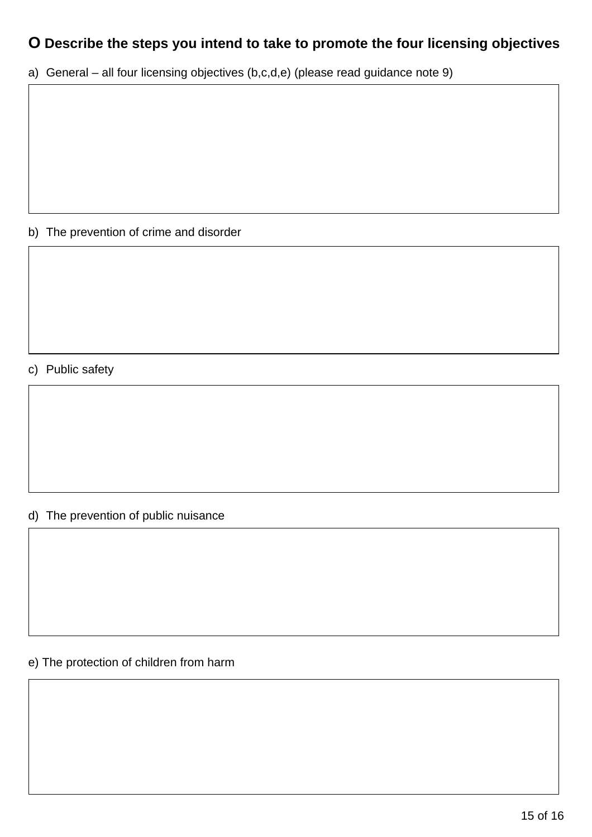# **O Describe the steps you intend to take to promote the four licensing objectives**

a) General – all four licensing objectives (b,c,d,e) (please read guidance note 9)

## b) The prevention of crime and disorder

## c) Public safety

## d) The prevention of public nuisance

## e) The protection of children from harm